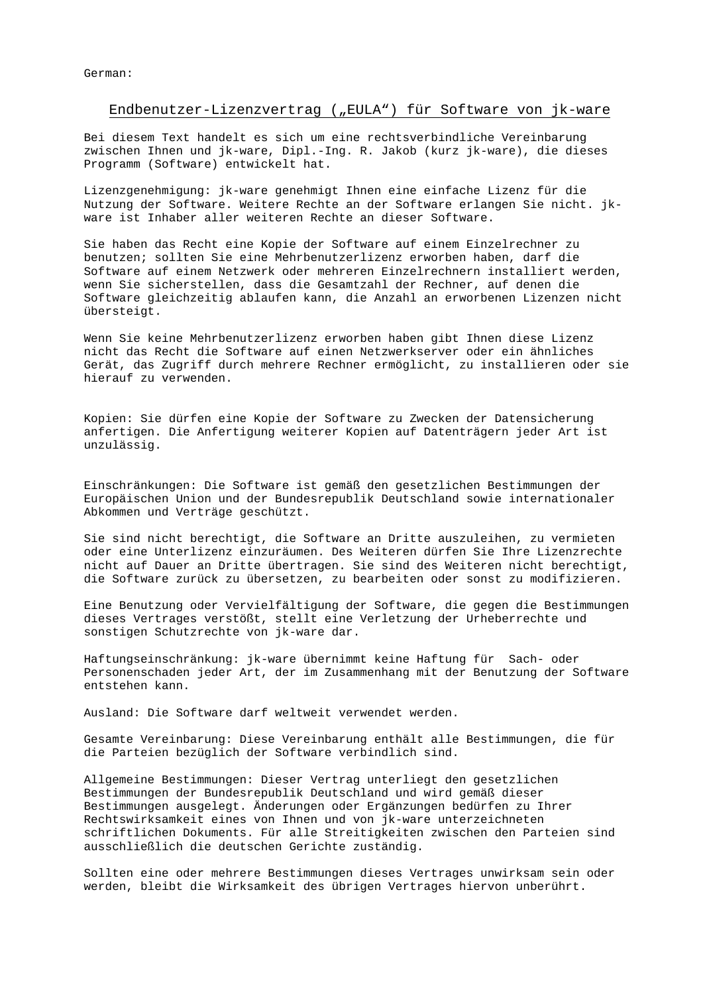German:

### Endbenutzer-Lizenzvertrag ("EULA") für Software von jk-ware

Bei diesem Text handelt es sich um eine rechtsverbindliche Vereinbarung zwischen Ihnen und jk-ware, Dipl.-Ing. R. Jakob (kurz jk-ware), die dieses Programm (Software) entwickelt hat.

Lizenzgenehmigung: jk-ware genehmigt Ihnen eine einfache Lizenz für die Nutzung der Software. Weitere Rechte an der Software erlangen Sie nicht. jkware ist Inhaber aller weiteren Rechte an dieser Software.

Sie haben das Recht eine Kopie der Software auf einem Einzelrechner zu benutzen; sollten Sie eine Mehrbenutzerlizenz erworben haben, darf die Software auf einem Netzwerk oder mehreren Einzelrechnern installiert werden, wenn Sie sicherstellen, dass die Gesamtzahl der Rechner, auf denen die Software gleichzeitig ablaufen kann, die Anzahl an erworbenen Lizenzen nicht übersteigt.

Wenn Sie keine Mehrbenutzerlizenz erworben haben gibt Ihnen diese Lizenz nicht das Recht die Software auf einen Netzwerkserver oder ein ähnliches Gerät, das Zugriff durch mehrere Rechner ermöglicht, zu installieren oder sie hierauf zu verwenden.

Kopien: Sie dürfen eine Kopie der Software zu Zwecken der Datensicherung anfertigen. Die Anfertigung weiterer Kopien auf Datenträgern jeder Art ist unzulässig.

Einschränkungen: Die Software ist gemäß den gesetzlichen Bestimmungen der Europäischen Union und der Bundesrepublik Deutschland sowie internationaler Abkommen und Verträge geschützt.

Sie sind nicht berechtigt, die Software an Dritte auszuleihen, zu vermieten oder eine Unterlizenz einzuräumen. Des Weiteren dürfen Sie Ihre Lizenzrechte nicht auf Dauer an Dritte übertragen. Sie sind des Weiteren nicht berechtigt, die Software zurück zu übersetzen, zu bearbeiten oder sonst zu modifizieren.

Eine Benutzung oder Vervielfältigung der Software, die gegen die Bestimmungen dieses Vertrages verstößt, stellt eine Verletzung der Urheberrechte und sonstigen Schutzrechte von jk-ware dar.

Haftungseinschränkung: jk-ware übernimmt keine Haftung für Sach- oder Personenschaden jeder Art, der im Zusammenhang mit der Benutzung der Software entstehen kann.

Ausland: Die Software darf weltweit verwendet werden.

Gesamte Vereinbarung: Diese Vereinbarung enthält alle Bestimmungen, die für die Parteien bezüglich der Software verbindlich sind.

Allgemeine Bestimmungen: Dieser Vertrag unterliegt den gesetzlichen Bestimmungen der Bundesrepublik Deutschland und wird gemäß dieser Bestimmungen ausgelegt. Änderungen oder Ergänzungen bedürfen zu Ihrer Rechtswirksamkeit eines von Ihnen und von jk-ware unterzeichneten schriftlichen Dokuments. Für alle Streitigkeiten zwischen den Parteien sind ausschließlich die deutschen Gerichte zuständig.

Sollten eine oder mehrere Bestimmungen dieses Vertrages unwirksam sein oder werden, bleibt die Wirksamkeit des übrigen Vertrages hiervon unberührt.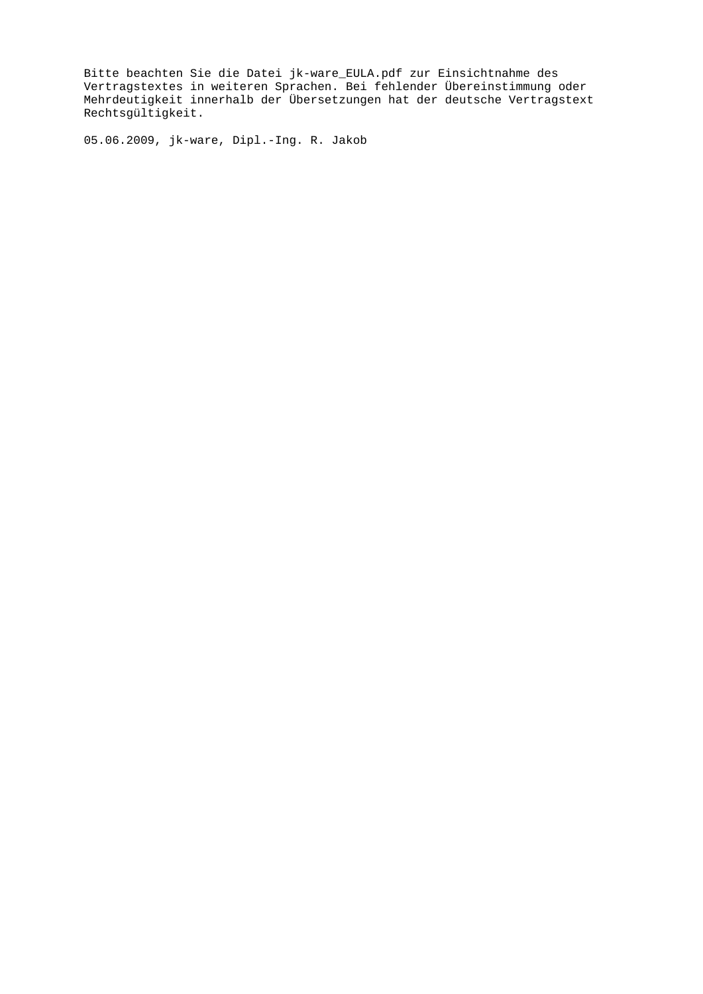Bitte beachten Sie die Datei jk-ware\_EULA.pdf zur Einsichtnahme des Vertragstextes in weiteren Sprachen. Bei fehlender Übereinstimmung oder Mehrdeutigkeit innerhalb der Übersetzungen hat der deutsche Vertragstext Rechtsgültigkeit.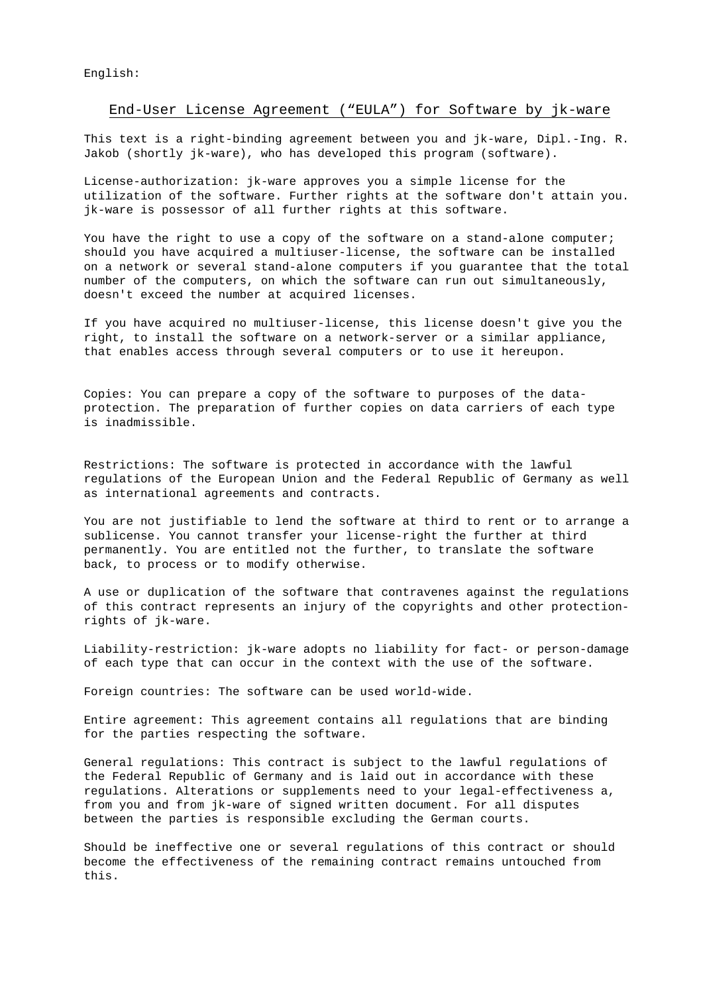English:

# End-User License Agreement ("EULA") for Software by jk-ware

This text is a right-binding agreement between you and jk-ware, Dipl.-Ing. R. Jakob (shortly jk-ware), who has developed this program (software).

License-authorization: jk-ware approves you a simple license for the utilization of the software. Further rights at the software don't attain you. jk-ware is possessor of all further rights at this software.

You have the right to use a copy of the software on a stand-alone computer; should you have acquired a multiuser-license, the software can be installed on a network or several stand-alone computers if you guarantee that the total number of the computers, on which the software can run out simultaneously, doesn't exceed the number at acquired licenses.

If you have acquired no multiuser-license, this license doesn't give you the right, to install the software on a network-server or a similar appliance, that enables access through several computers or to use it hereupon.

Copies: You can prepare a copy of the software to purposes of the dataprotection. The preparation of further copies on data carriers of each type is inadmissible.

Restrictions: The software is protected in accordance with the lawful regulations of the European Union and the Federal Republic of Germany as well as international agreements and contracts.

You are not justifiable to lend the software at third to rent or to arrange a sublicense. You cannot transfer your license-right the further at third permanently. You are entitled not the further, to translate the software back, to process or to modify otherwise.

A use or duplication of the software that contravenes against the regulations of this contract represents an injury of the copyrights and other protectionrights of jk-ware.

Liability-restriction: jk-ware adopts no liability for fact- or person-damage of each type that can occur in the context with the use of the software.

Foreign countries: The software can be used world-wide.

Entire agreement: This agreement contains all regulations that are binding for the parties respecting the software.

General regulations: This contract is subject to the lawful regulations of the Federal Republic of Germany and is laid out in accordance with these regulations. Alterations or supplements need to your legal-effectiveness a, from you and from jk-ware of signed written document. For all disputes between the parties is responsible excluding the German courts.

Should be ineffective one or several regulations of this contract or should become the effectiveness of the remaining contract remains untouched from this.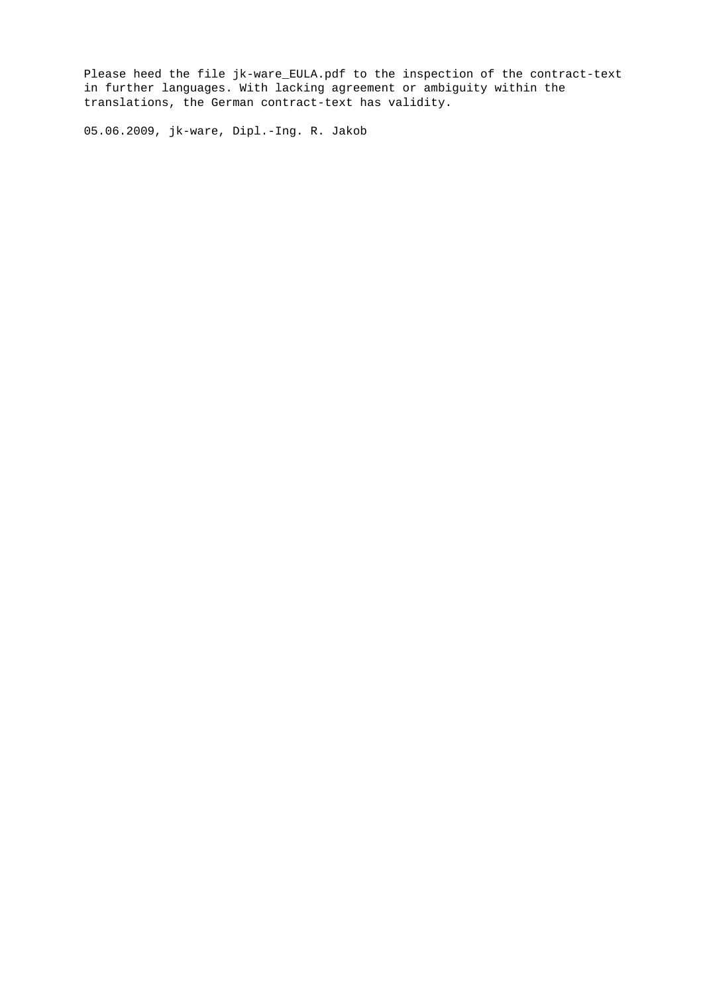Please heed the file jk-ware\_EULA.pdf to the inspection of the contract-text in further languages. With lacking agreement or ambiguity within the translations, the German contract-text has validity.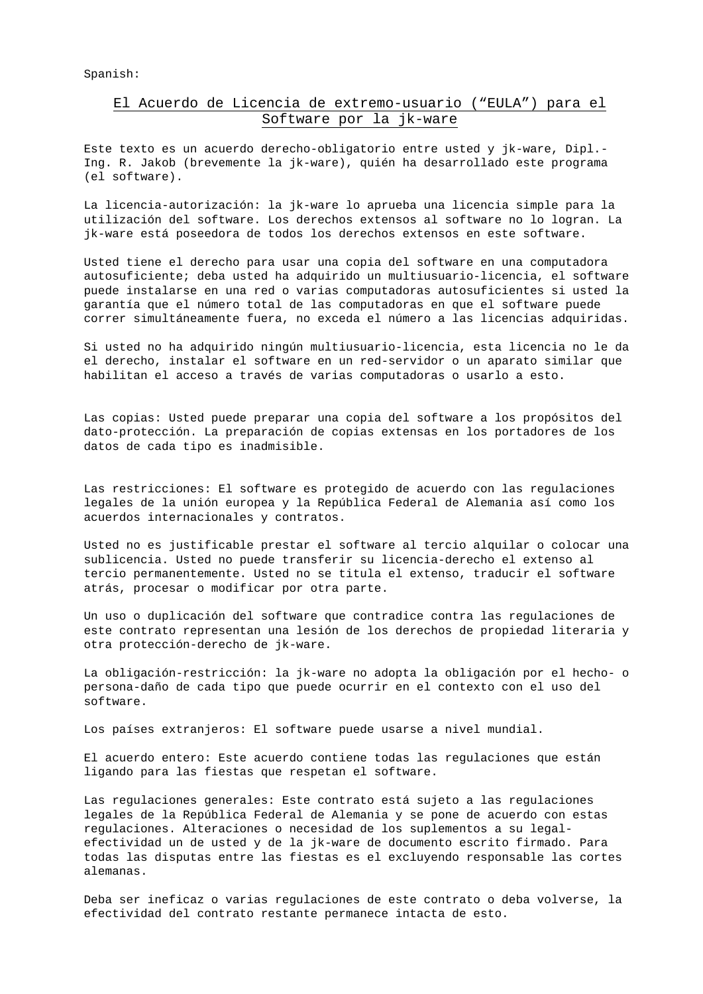Spanish:

## El Acuerdo de Licencia de extremo-usuario ("EULA") para el Software por la jk-ware

Este texto es un acuerdo derecho-obligatorio entre usted y jk-ware, Dipl.- Ing. R. Jakob (brevemente la jk-ware), quién ha desarrollado este programa (el software).

La licencia-autorización: la jk-ware lo aprueba una licencia simple para la utilización del software. Los derechos extensos al software no lo logran. La jk-ware está poseedora de todos los derechos extensos en este software.

Usted tiene el derecho para usar una copia del software en una computadora autosuficiente; deba usted ha adquirido un multiusuario-licencia, el software puede instalarse en una red o varias computadoras autosuficientes si usted la garantía que el número total de las computadoras en que el software puede correr simultáneamente fuera, no exceda el número a las licencias adquiridas.

Si usted no ha adquirido ningún multiusuario-licencia, esta licencia no le da el derecho, instalar el software en un red-servidor o un aparato similar que habilitan el acceso a través de varias computadoras o usarlo a esto.

Las copias: Usted puede preparar una copia del software a los propósitos del dato-protección. La preparación de copias extensas en los portadores de los datos de cada tipo es inadmisible.

Las restricciones: El software es protegido de acuerdo con las regulaciones legales de la unión europea y la República Federal de Alemania así como los acuerdos internacionales y contratos.

Usted no es justificable prestar el software al tercio alquilar o colocar una sublicencia. Usted no puede transferir su licencia-derecho el extenso al tercio permanentemente. Usted no se titula el extenso, traducir el software atrás, procesar o modificar por otra parte.

Un uso o duplicación del software que contradice contra las regulaciones de este contrato representan una lesión de los derechos de propiedad literaria y otra protección-derecho de jk-ware.

La obligación-restricción: la jk-ware no adopta la obligación por el hecho- o persona-daño de cada tipo que puede ocurrir en el contexto con el uso del software.

Los países extranjeros: El software puede usarse a nivel mundial.

El acuerdo entero: Este acuerdo contiene todas las regulaciones que están ligando para las fiestas que respetan el software.

Las regulaciones generales: Este contrato está sujeto a las regulaciones legales de la República Federal de Alemania y se pone de acuerdo con estas regulaciones. Alteraciones o necesidad de los suplementos a su legalefectividad un de usted y de la jk-ware de documento escrito firmado. Para todas las disputas entre las fiestas es el excluyendo responsable las cortes alemanas.

Deba ser ineficaz o varias regulaciones de este contrato o deba volverse, la efectividad del contrato restante permanece intacta de esto.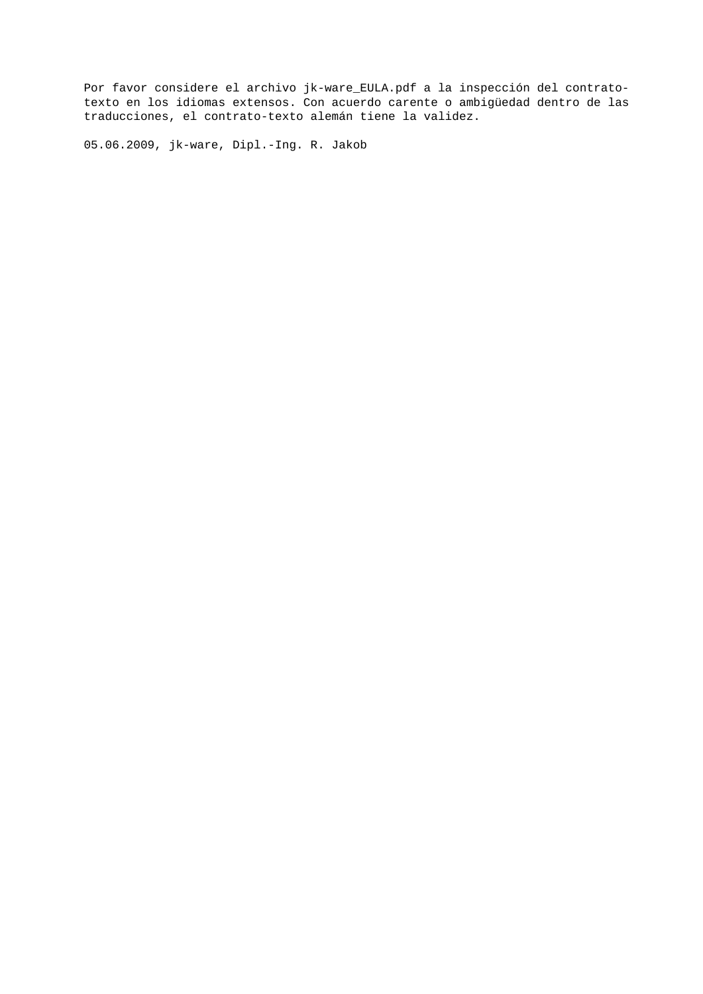Por favor considere el archivo jk-ware\_EULA.pdf a la inspección del contratotexto en los idiomas extensos. Con acuerdo carente o ambigüedad dentro de las traducciones, el contrato-texto alemán tiene la validez.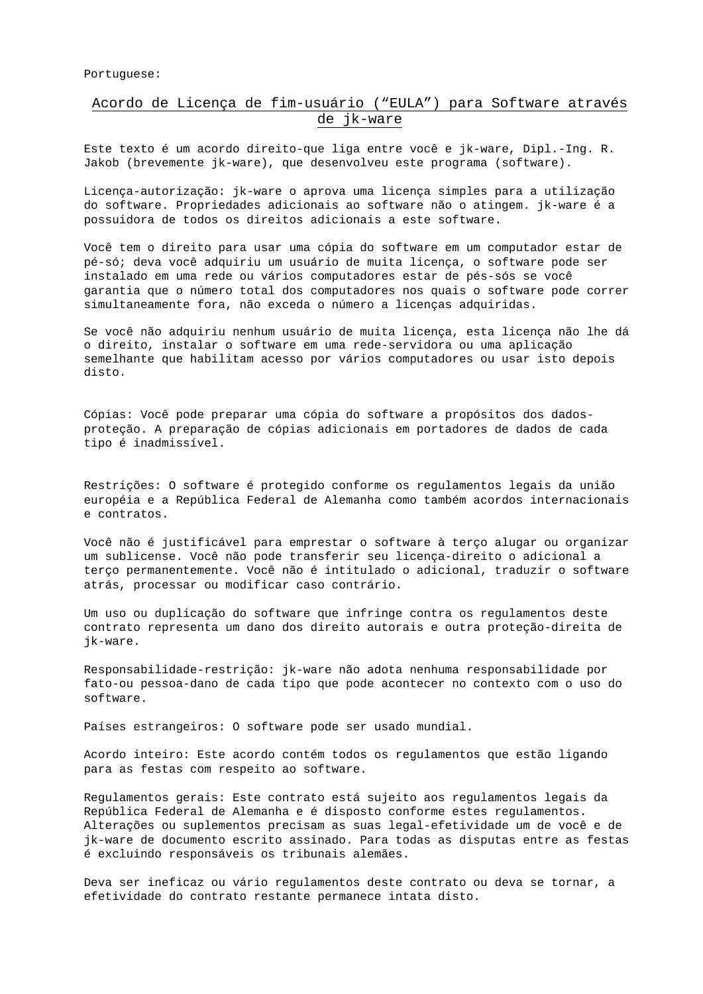#### Portuguese:

## Acordo de Licença de fim-usuário ("EULA") para Software através de jk-ware

Este texto é um acordo direito-que liga entre você e jk-ware, Dipl.-Ing. R. Jakob (brevemente jk-ware), que desenvolveu este programa (software).

Licença-autorização: jk-ware o aprova uma licença simples para a utilização do software. Propriedades adicionais ao software não o atingem. jk-ware é a possuidora de todos os direitos adicionais a este software.

Você tem o direito para usar uma cópia do software em um computador estar de pé-só; deva você adquiriu um usuário de muita licença, o software pode ser instalado em uma rede ou vários computadores estar de pés-sós se você garantia que o número total dos computadores nos quais o software pode correr simultaneamente fora, não exceda o número a licenças adquiridas.

Se você não adquiriu nenhum usuário de muita licença, esta licença não lhe dá o direito, instalar o software em uma rede-servidora ou uma aplicação semelhante que habilitam acesso por vários computadores ou usar isto depois disto.

Cópias: Você pode preparar uma cópia do software a propósitos dos dadosproteção. A preparação de cópias adicionais em portadores de dados de cada tipo é inadmissível.

Restrições: O software é protegido conforme os regulamentos legais da união européia e a República Federal de Alemanha como também acordos internacionais e contratos.

Você não é justificável para emprestar o software à terço alugar ou organizar um sublicense. Você não pode transferir seu licença-direito o adicional a terço permanentemente. Você não é intitulado o adicional, traduzir o software atrás, processar ou modificar caso contrário.

Um uso ou duplicação do software que infringe contra os regulamentos deste contrato representa um dano dos direito autorais e outra proteção-direita de jk-ware.

Responsabilidade-restrição: jk-ware não adota nenhuma responsabilidade por fato-ou pessoa-dano de cada tipo que pode acontecer no contexto com o uso do software.

Países estrangeiros: O software pode ser usado mundial.

Acordo inteiro: Este acordo contém todos os regulamentos que estão ligando para as festas com respeito ao software.

Regulamentos gerais: Este contrato está sujeito aos regulamentos legais da República Federal de Alemanha e é disposto conforme estes regulamentos. Alterações ou suplementos precisam as suas legal-efetividade um de você e de jk-ware de documento escrito assinado. Para todas as disputas entre as festas é excluindo responsáveis os tribunais alemães.

Deva ser ineficaz ou vário regulamentos deste contrato ou deva se tornar, a efetividade do contrato restante permanece intata disto.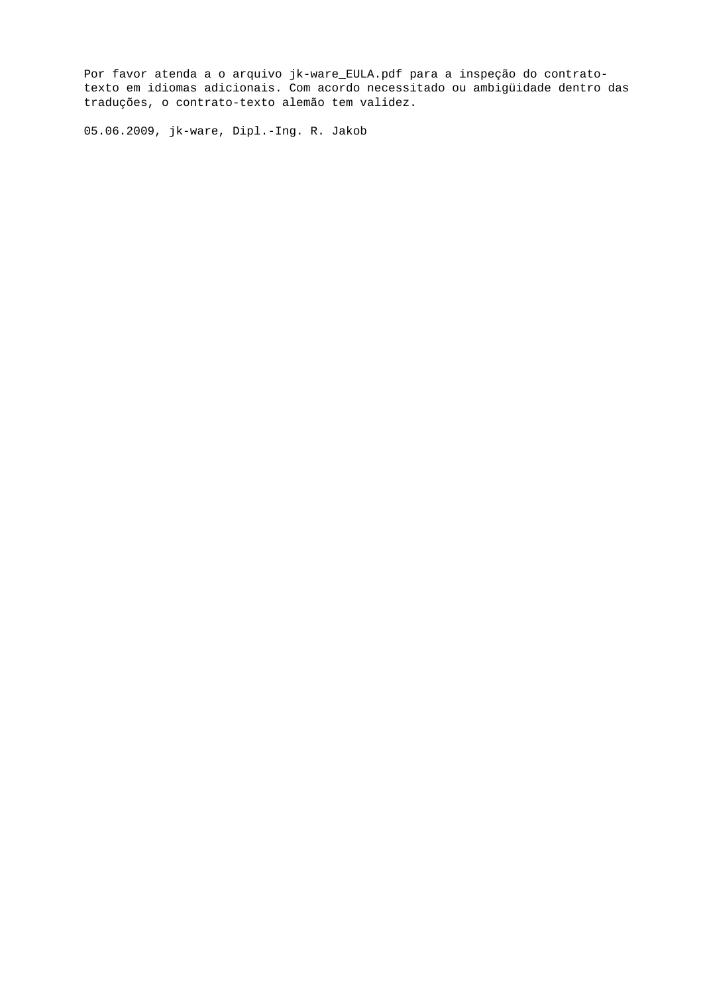Por favor atenda a o arquivo jk-ware\_EULA.pdf para a inspeção do contratotexto em idiomas adicionais. Com acordo necessitado ou ambigüidade dentro das traduções, o contrato-texto alemão tem validez.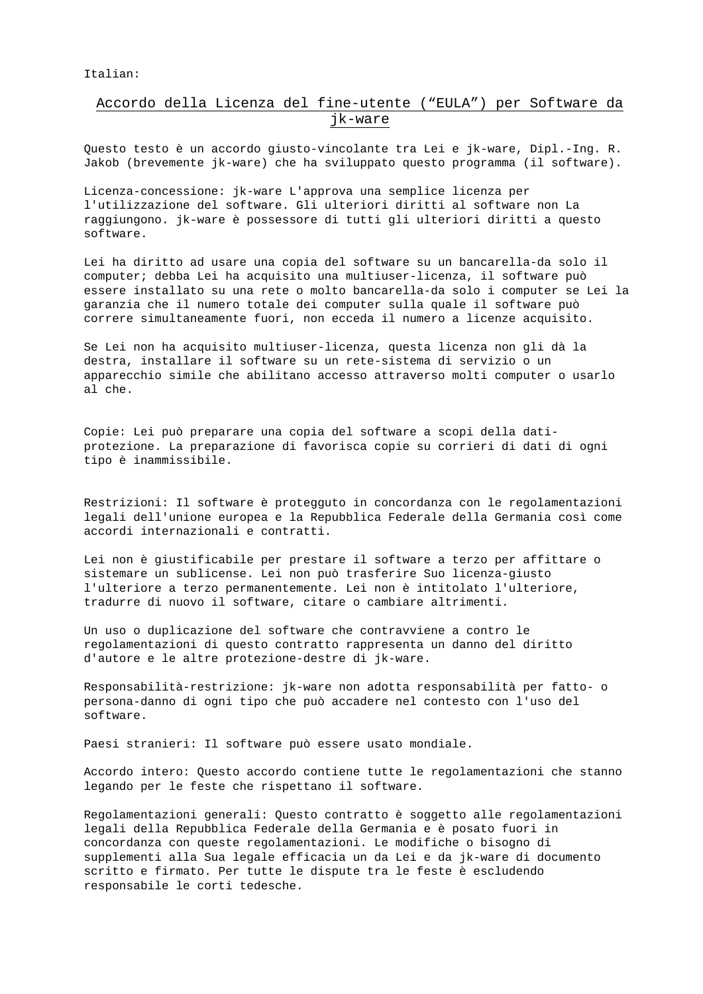Italian:

## Accordo della Licenza del fine-utente ("EULA") per Software da jk-ware

Questo testo è un accordo giusto-vincolante tra Lei e jk-ware, Dipl.-Ing. R. Jakob (brevemente jk-ware) che ha sviluppato questo programma (il software).

Licenza-concessione: jk-ware L'approva una semplice licenza per l'utilizzazione del software. Gli ulteriori diritti al software non La raggiungono. jk-ware è possessore di tutti gli ulteriori diritti a questo software.

Lei ha diritto ad usare una copia del software su un bancarella-da solo il computer; debba Lei ha acquisito una multiuser-licenza, il software può essere installato su una rete o molto bancarella-da solo i computer se Lei la garanzia che il numero totale dei computer sulla quale il software può correre simultaneamente fuori, non ecceda il numero a licenze acquisito.

Se Lei non ha acquisito multiuser-licenza, questa licenza non gli dà la destra, installare il software su un rete-sistema di servizio o un apparecchio simile che abilitano accesso attraverso molti computer o usarlo al che.

Copie: Lei può preparare una copia del software a scopi della datiprotezione. La preparazione di favorisca copie su corrieri di dati di ogni tipo è inammissibile.

Restrizioni: Il software è protegguto in concordanza con le regolamentazioni legali dell'unione europea e la Repubblica Federale della Germania così come accordi internazionali e contratti.

Lei non è giustificabile per prestare il software a terzo per affittare o sistemare un sublicense. Lei non può trasferire Suo licenza-giusto l'ulteriore a terzo permanentemente. Lei non è intitolato l'ulteriore, tradurre di nuovo il software, citare o cambiare altrimenti.

Un uso o duplicazione del software che contravviene a contro le regolamentazioni di questo contratto rappresenta un danno del diritto d'autore e le altre protezione-destre di jk-ware.

Responsabilità-restrizione: jk-ware non adotta responsabilità per fatto- o persona-danno di ogni tipo che può accadere nel contesto con l'uso del software.

Paesi stranieri: Il software può essere usato mondiale.

Accordo intero: Questo accordo contiene tutte le regolamentazioni che stanno legando per le feste che rispettano il software.

Regolamentazioni generali: Questo contratto è soggetto alle regolamentazioni legali della Repubblica Federale della Germania e è posato fuori in concordanza con queste regolamentazioni. Le modifiche o bisogno di supplementi alla Sua legale efficacia un da Lei e da jk-ware di documento scritto e firmato. Per tutte le dispute tra le feste è escludendo responsabile le corti tedesche.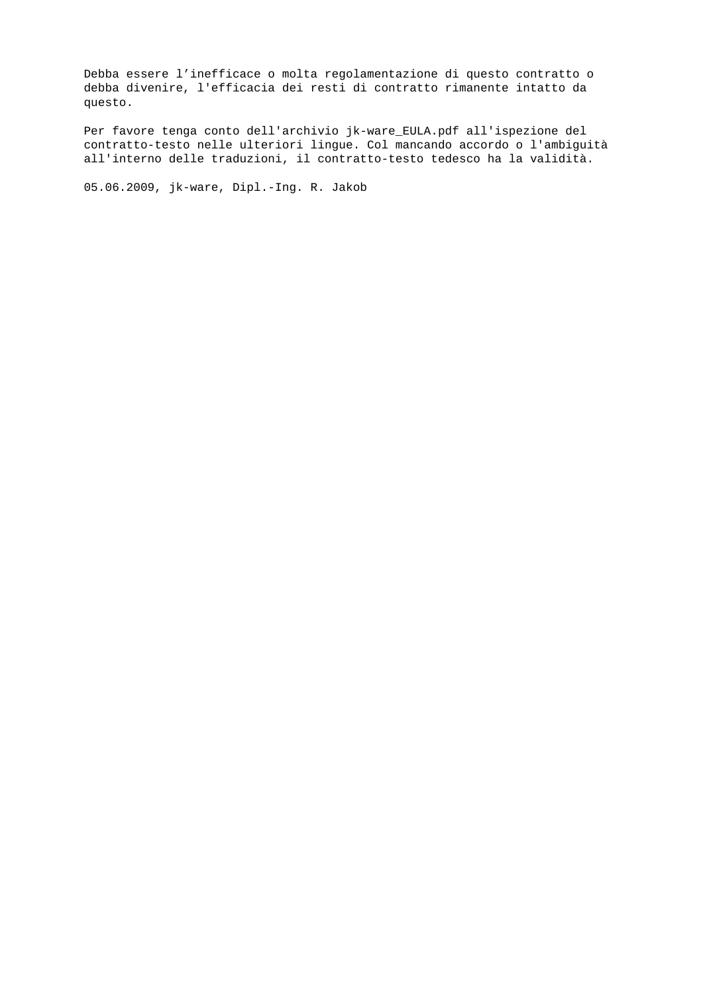Debba essere l'inefficace o molta regolamentazione di questo contratto o debba divenire, l'efficacia dei resti di contratto rimanente intatto da questo.

Per favore tenga conto dell'archivio jk-ware\_EULA.pdf all'ispezione del contratto-testo nelle ulteriori lingue. Col mancando accordo o l'ambiguità all'interno delle traduzioni, il contratto-testo tedesco ha la validità.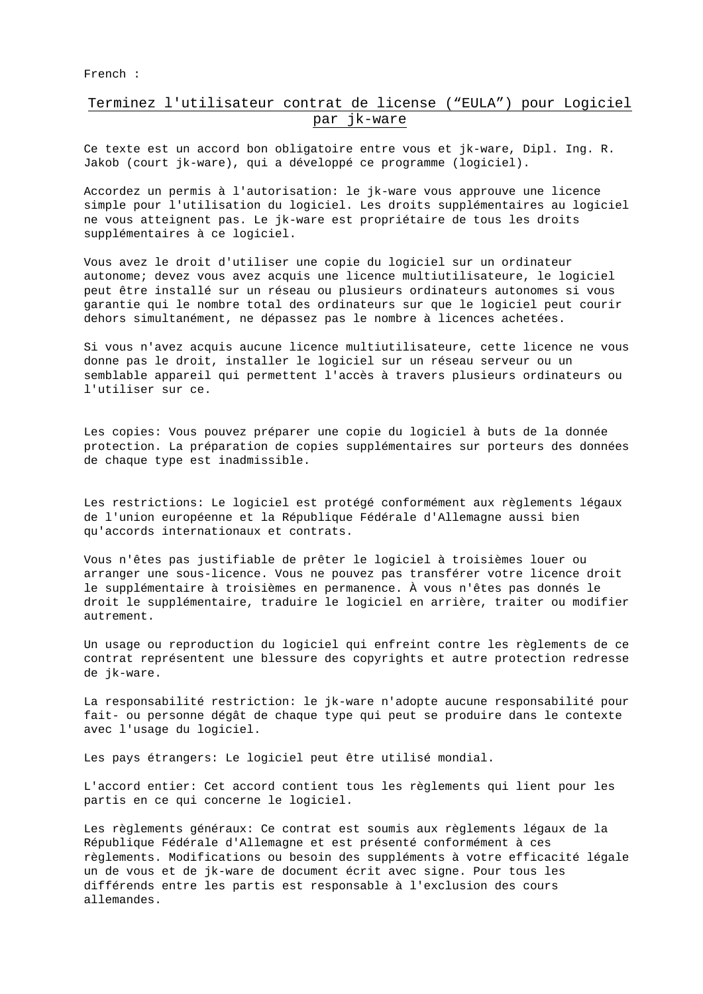French :

## Terminez l'utilisateur contrat de license ("EULA") pour Logiciel par jk-ware

Ce texte est un accord bon obligatoire entre vous et jk-ware, Dipl. Ing. R. Jakob (court jk-ware), qui a développé ce programme (logiciel).

Accordez un permis à l'autorisation: le jk-ware vous approuve une licence simple pour l'utilisation du logiciel. Les droits supplémentaires au logiciel ne vous atteignent pas. Le jk-ware est propriétaire de tous les droits supplémentaires à ce logiciel.

Vous avez le droit d'utiliser une copie du logiciel sur un ordinateur autonome; devez vous avez acquis une licence multiutilisateure, le logiciel peut être installé sur un réseau ou plusieurs ordinateurs autonomes si vous garantie qui le nombre total des ordinateurs sur que le logiciel peut courir dehors simultanément, ne dépassez pas le nombre à licences achetées.

Si vous n'avez acquis aucune licence multiutilisateure, cette licence ne vous donne pas le droit, installer le logiciel sur un réseau serveur ou un semblable appareil qui permettent l'accès à travers plusieurs ordinateurs ou l'utiliser sur ce.

Les copies: Vous pouvez préparer une copie du logiciel à buts de la donnée protection. La préparation de copies supplémentaires sur porteurs des données de chaque type est inadmissible.

Les restrictions: Le logiciel est protégé conformément aux règlements légaux de l'union européenne et la République Fédérale d'Allemagne aussi bien qu'accords internationaux et contrats.

Vous n'êtes pas justifiable de prêter le logiciel à troisièmes louer ou arranger une sous-licence. Vous ne pouvez pas transférer votre licence droit le supplémentaire à troisièmes en permanence. À vous n'êtes pas donnés le droit le supplémentaire, traduire le logiciel en arrière, traiter ou modifier autrement.

Un usage ou reproduction du logiciel qui enfreint contre les règlements de ce contrat représentent une blessure des copyrights et autre protection redresse de jk-ware.

La responsabilité restriction: le jk-ware n'adopte aucune responsabilité pour fait- ou personne dégât de chaque type qui peut se produire dans le contexte avec l'usage du logiciel.

Les pays étrangers: Le logiciel peut être utilisé mondial.

L'accord entier: Cet accord contient tous les règlements qui lient pour les partis en ce qui concerne le logiciel.

Les règlements généraux: Ce contrat est soumis aux règlements légaux de la République Fédérale d'Allemagne et est présenté conformément à ces règlements. Modifications ou besoin des suppléments à votre efficacité légale un de vous et de jk-ware de document écrit avec signe. Pour tous les différends entre les partis est responsable à l'exclusion des cours allemandes.